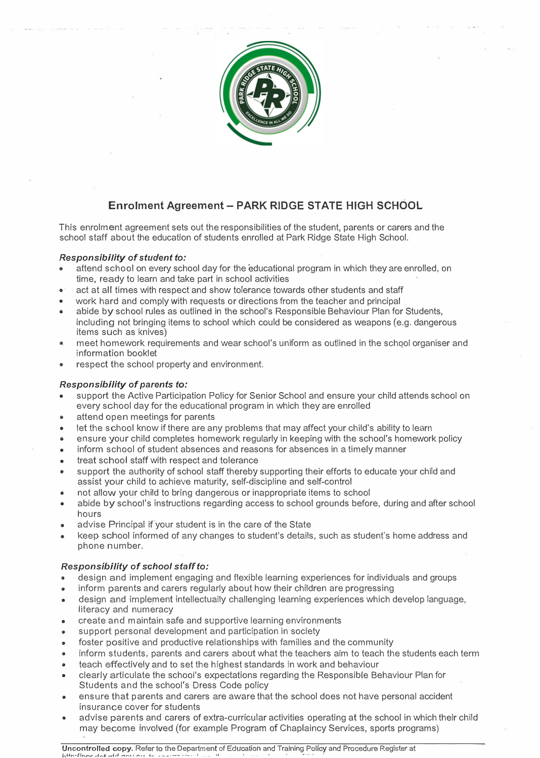

## **Enrolment Agreement - PARK RIDGE STATE HIGH SCHOOL**

This enrolment agreement sets out the responsibilities of the student, parents or carers and the school staff about the education of students enrolled at Park Ridge State High School.

## *Responsibility* **of** *student to:*

- attend school on every school day for the educational program in which they are enrolled, on time, ready to learn and take part in school activities
- **o** act at all times with respect and show tolerance towards other students and staff
- work hard and comply with requests or directions from the teacher and principal
- abide by school rules as outlined in the school's Responsible Behaviour Plan for Students, including not bringing items to school which could be considered as weapons (e.g. dangerous items such as knives)
- meet homework requirements and wear school's uniform as outlined in the school organiser and information booklet
- respect the school property and environment.

## *Responsibility* **of** *parents to:*

- support the Active Participation Policy for Senior School and ensure your child attends school on every school day for the educational program in which they are enrolled
- **o** attend open meetings for parents
- $\bullet$  let the school know if there are any problems that may affect your child's ability to learn
- ensure your child completes homework regularly in keeping with the school's homework policy
- inform school of student absences and reasons for absences in a timely manner
- treat school staff with respect and tolerance
- support the authority of school staff thereby supporting their efforts to educate your child and assist your child to achieve maturity, self-discipline and self-control
- not allow your chfld to bring dangerous or inappropriate items to school
- abide by school's instructions regarding access to school grounds before, during and after school hours
- advise Principal if your student is in the care of the State
- keep school informed of any changes to student's details, such as student's home address and phone number.

## *Responsibility* **of** *school staff to:*

- design and implement engaging and flexible learning experiences for individuals and groups
- inform parents and carers regularly about how their children are progressing
- design and implement intellectually challenging learning experiences which develop language, literacy and numeracy
- create and maintain safe and supportive learning environments
- support personal development and participation in society
- foster positive and productive relationships with families and the community
- inform students, parents and carers about what the teachers aim to teach the students each term
- teach effectively and to set the highest standards in work and behaviour
- clearfy articulate the school's expectations regarding the Responsib[e Behaviour Plan for Students and the school's Dress Code poficy
- ensure that parents and carers are aware that the school does not have personal accident insurance cover *for* students
- **<sup>o</sup>**advise parents and carers of extra-curricular activities operating at the school in which their child may become involved (for example Program of Chaplaincy Services, sports programs)